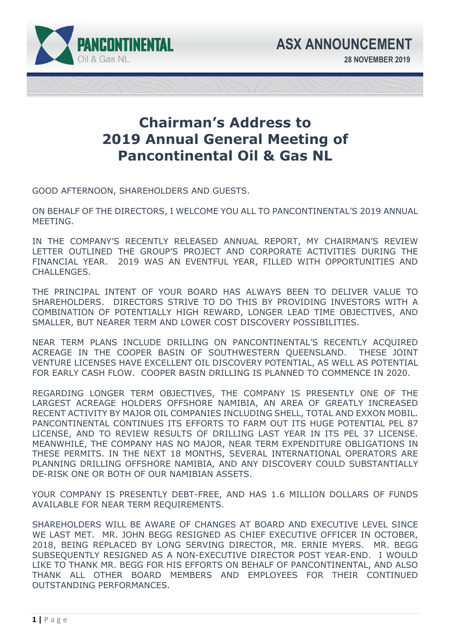

## **Chairman's Address to 2019 Annual General Meeting of Pancontinental Oil & Gas NL**

GOOD AFTERNOON, SHAREHOLDERS AND GUESTS.

ON BEHALF OF THE DIRECTORS, I WELCOME YOU ALL TO PANCONTINENTAL'S 2019 ANNUAL MEETING.

IN THE COMPANY'S RECENTLY RELEASED ANNUAL REPORT, MY CHAIRMAN'S REVIEW LETTER OUTLINED THE GROUP'S PROJECT AND CORPORATE ACTIVITIES DURING THE FINANCIAL YEAR. 2019 WAS AN EVENTFUL YEAR, FILLED WITH OPPORTUNITIES AND CHALLENGES.

THE PRINCIPAL INTENT OF YOUR BOARD HAS ALWAYS BEEN TO DELIVER VALUE TO SHAREHOLDERS. DIRECTORS STRIVE TO DO THIS BY PROVIDING INVESTORS WITH A COMBINATION OF POTENTIALLY HIGH REWARD, LONGER LEAD TIME OBJECTIVES, AND SMALLER, BUT NEARER TERM AND LOWER COST DISCOVERY POSSIBILITIES.

NEAR TERM PLANS INCLUDE DRILLING ON PANCONTINENTAL'S RECENTLY ACQUIRED ACREAGE IN THE COOPER BASIN OF SOUTHWESTERN QUEENSLAND. THESE JOINT VENTURE LICENSES HAVE EXCELLENT OIL DISCOVERY POTENTIAL, AS WELL AS POTENTIAL FOR EARLY CASH FLOW. COOPER BASIN DRILLING IS PLANNED TO COMMENCE IN 2020.

REGARDING LONGER TERM OBJECTIVES, THE COMPANY IS PRESENTLY ONE OF THE LARGEST ACREAGE HOLDERS OFFSHORE NAMIBIA, AN AREA OF GREATLY INCREASED RECENT ACTIVITY BY MAJOR OIL COMPANIES INCLUDING SHELL, TOTAL AND EXXON MOBIL. PANCONTINENTAL CONTINUES ITS EFFORTS TO FARM OUT ITS HUGE POTENTIAL PEL 87 LICENSE, AND TO REVIEW RESULTS OF DRILLING LAST YEAR IN ITS PEL 37 LICENSE. MEANWHILE, THE COMPANY HAS NO MAJOR, NEAR TERM EXPENDITURE OBLIGATIONS IN THESE PERMITS. IN THE NEXT 18 MONTHS, SEVERAL INTERNATIONAL OPERATORS ARE PLANNING DRILLING OFFSHORE NAMIBIA, AND ANY DISCOVERY COULD SUBSTANTIALLY DE-RISK ONE OR BOTH OF OUR NAMIBIAN ASSETS.

YOUR COMPANY IS PRESENTLY DEBT-FREE, AND HAS 1.6 MILLION DOLLARS OF FUNDS AVAILABLE FOR NEAR TERM REQUIREMENTS.

SHAREHOLDERS WILL BE AWARE OF CHANGES AT BOARD AND EXECUTIVE LEVEL SINCE WE LAST MET. MR. JOHN BEGG RESIGNED AS CHIEF EXECUTIVE OFFICER IN OCTOBER, 2018, BEING REPLACED BY LONG SERVING DIRECTOR, MR. ERNIE MYERS. MR. BEGG SUBSEQUENTLY RESIGNED AS A NON-EXECUTIVE DIRECTOR POST YEAR-END. I WOULD LIKE TO THANK MR. BEGG FOR HIS EFFORTS ON BEHALF OF PANCONTINENTAL, AND ALSO THANK ALL OTHER BOARD MEMBERS AND EMPLOYEES FOR THEIR CONTINUED OUTSTANDING PERFORMANCES.